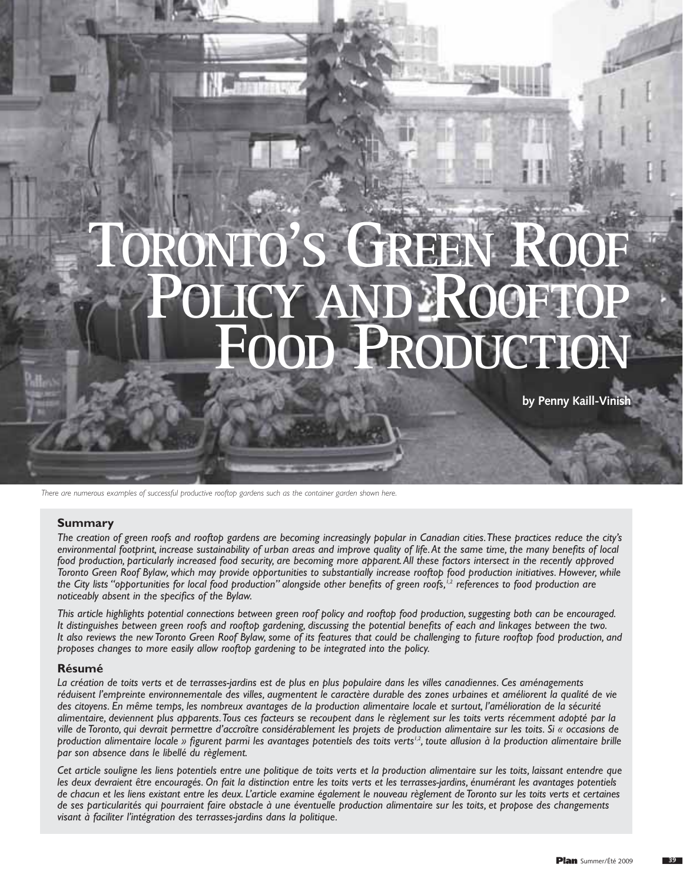# **RONTO'S GREE**  $P$ **ROC FRODUCTION**

**by Penny Kaill-Vinish**

*There are numerous examples of successful productive rooftop gardens such as the container garden shown here.*

## **Summary**

*The creation of green roofs and rooftop gardens are becoming increasingly popular in Canadian cities.These practices reduce the city's environmental footprint, increase sustainability of urban areas and improve quality of life.At the same time, the many benefits of local food production, particularly increased food security, are becoming more apparent.All these factors intersect in the recently approved Toronto Green Roof Bylaw, which may provide opportunities to substantially increase rooftop food production initiatives. However, while the City lists "opportunities for local food production" alongside other benefits of green roofs,1,2 references to food production are noticeably absent in the specifics of the Bylaw.*

*This article highlights potential connections between green roof policy and rooftop food production, suggesting both can be encouraged. It distinguishes between green roofs and rooftop gardening, discussing the potential benefits of each and linkages between the two. It also reviews the new Toronto Green Roof Bylaw, some of its features that could be challenging to future rooftop food production, and proposes changes to more easily allow rooftop gardening to be integrated into the policy.*

### **Résumé**

*La création de toits verts et de terrasses-jardins est de plus en plus populaire dans les villes canadiennes. Ces aménagements réduisent l'empreinte environnementale des villes, augmentent le caractère durable des zones urbaines et améliorent la qualité de vie des citoyens. En même temps, les nombreux avantages de la production alimentaire locale et surtout, l'amélioration de la sécurité alimentaire, deviennent plus apparents.Tous ces facteurs se recoupent dans le règlement sur les toits verts récemment adopté par la ville de Toronto, qui devrait permettre d'accroître considérablement les projets de production alimentaire sur les toits. Si « occasions de production alimentaire locale » figurent parmi les avantages potentiels des toits verts<sup>12</sup>, toute allusion à la production alimentaire brille par son absence dans le libellé du règlement.*

*Cet article souligne les liens potentiels entre une politique de toits verts et la production alimentaire sur les toits, laissant entendre que les deux devraient être encouragés. On fait la distinction entre les toits verts et les terrasses-jardins, énumérant les avantages potentiels de chacun et les liens existant entre les deux. L'article examine également le nouveau règlement de Toronto sur les toits verts et certaines de ses particularités qui pourraient faire obstacle à une éventuelle production alimentaire sur les toits, et propose des changements visant à faciliter l'intégration des terrasses-jardins dans la politique.*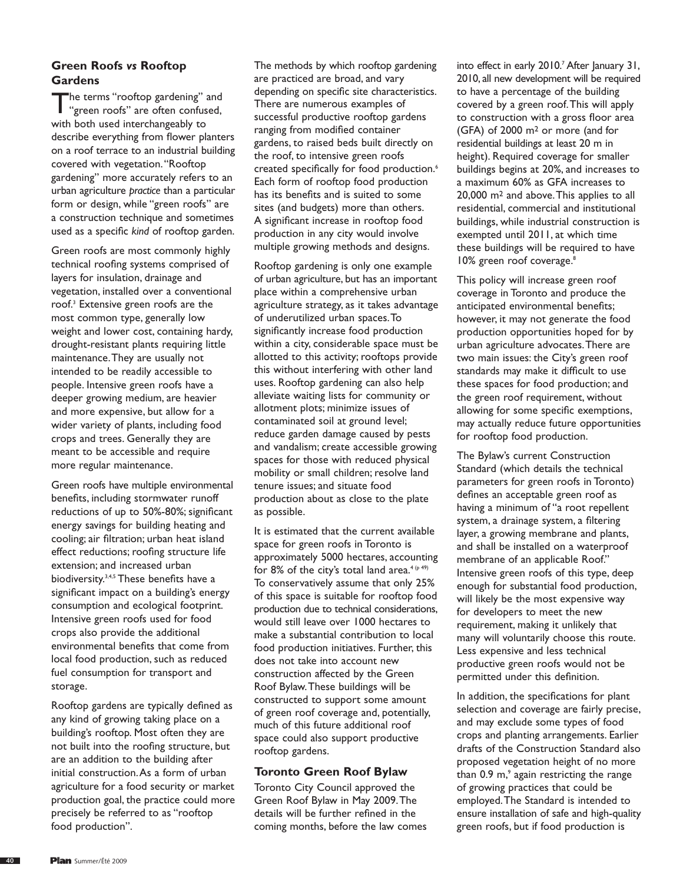# **Green Roofs** *vs* **Rooftop Gardens**

The terms "rooftop gardening" and "green roofs" are often confused, with both used interchangeably to describe everything from flower planters on a roof terrace to an industrial building covered with vegetation."Rooftop gardening" more accurately refers to an urban agriculture *practice* than a particular form or design, while "green roofs" are a construction technique and sometimes used as a specific *kind* of rooftop garden.

Green roofs are most commonly highly technical roofing systems comprised of layers for insulation, drainage and vegetation, installed over a conventional roof.3 Extensive green roofs are the most common type, generally low weight and lower cost, containing hardy, drought-resistant plants requiring little maintenance.They are usually not intended to be readily accessible to people. Intensive green roofs have a deeper growing medium, are heavier and more expensive, but allow for a wider variety of plants, including food crops and trees. Generally they are meant to be accessible and require more regular maintenance.

Green roofs have multiple environmental benefits, including stormwater runoff reductions of up to 50%-80%; significant energy savings for building heating and cooling; air filtration; urban heat island effect reductions; roofing structure life extension; and increased urban biodiversity.<sup>3,4,5</sup> These benefits have a significant impact on a building's energy consumption and ecological footprint. Intensive green roofs used for food crops also provide the additional environmental benefits that come from local food production, such as reduced fuel consumption for transport and storage.

Rooftop gardens are typically defined as any kind of growing taking place on a building's rooftop. Most often they are not built into the roofing structure, but are an addition to the building after initial construction.As a form of urban agriculture for a food security or market production goal, the practice could more precisely be referred to as "rooftop food production".

The methods by which rooftop gardening are practiced are broad, and vary depending on specific site characteristics. There are numerous examples of successful productive rooftop gardens ranging from modified container gardens, to raised beds built directly on the roof, to intensive green roofs created specifically for food production.<sup>6</sup> Each form of rooftop food production has its benefits and is suited to some sites (and budgets) more than others. A significant increase in rooftop food production in any city would involve multiple growing methods and designs.

Rooftop gardening is only one example of urban agriculture, but has an important place within a comprehensive urban agriculture strategy, as it takes advantage of underutilized urban spaces.To significantly increase food production within a city, considerable space must be allotted to this activity; rooftops provide this without interfering with other land uses. Rooftop gardening can also help alleviate waiting lists for community or allotment plots; minimize issues of contaminated soil at ground level; reduce garden damage caused by pests and vandalism; create accessible growing spaces for those with reduced physical mobility or small children; resolve land tenure issues; and situate food production about as close to the plate as possible.

It is estimated that the current available space for green roofs in Toronto is approximately 5000 hectares, accounting for 8% of the city's total land area.<sup>4 (p 49)</sup> To conservatively assume that only 25% of this space is suitable for rooftop food production due to technical considerations, would still leave over 1000 hectares to make a substantial contribution to local food production initiatives. Further, this does not take into account new construction affected by the Green Roof Bylaw.These buildings will be constructed to support some amount of green roof coverage and, potentially, much of this future additional roof space could also support productive rooftop gardens.

## **Toronto Green Roof Bylaw**

Toronto City Council approved the Green Roof Bylaw in May 2009.The details will be further refined in the coming months, before the law comes

into effect in early 2010.<sup>7</sup> After January 31, 2010, all new development will be required to have a percentage of the building covered by a green roof.This will apply to construction with a gross floor area (GFA) of 2000 m2 or more (and for residential buildings at least 20 m in height). Required coverage for smaller buildings begins at 20%, and increases to a maximum 60% as GFA increases to 20,000 m2 and above.This applies to all residential, commercial and institutional buildings, while industrial construction is exempted until 2011, at which time these buildings will be required to have 10% green roof coverage.<sup>8</sup>

This policy will increase green roof coverage in Toronto and produce the anticipated environmental benefits; however, it may not generate the food production opportunities hoped for by urban agriculture advocates.There are two main issues: the City's green roof standards may make it difficult to use these spaces for food production; and the green roof requirement, without allowing for some specific exemptions, may actually reduce future opportunities for rooftop food production.

The Bylaw's current Construction Standard (which details the technical parameters for green roofs in Toronto) defines an acceptable green roof as having a minimum of "a root repellent system, a drainage system, a filtering layer, a growing membrane and plants, and shall be installed on a waterproof membrane of an applicable Roof." Intensive green roofs of this type, deep enough for substantial food production, will likely be the most expensive way for developers to meet the new requirement, making it unlikely that many will voluntarily choose this route. Less expensive and less technical productive green roofs would not be permitted under this definition.

In addition, the specifications for plant selection and coverage are fairly precise, and may exclude some types of food crops and planting arrangements. Earlier drafts of the Construction Standard also proposed vegetation height of no more than  $0.9$  m, $^{\circ}$  again restricting the range of growing practices that could be employed.The Standard is intended to ensure installation of safe and high-quality green roofs, but if food production is